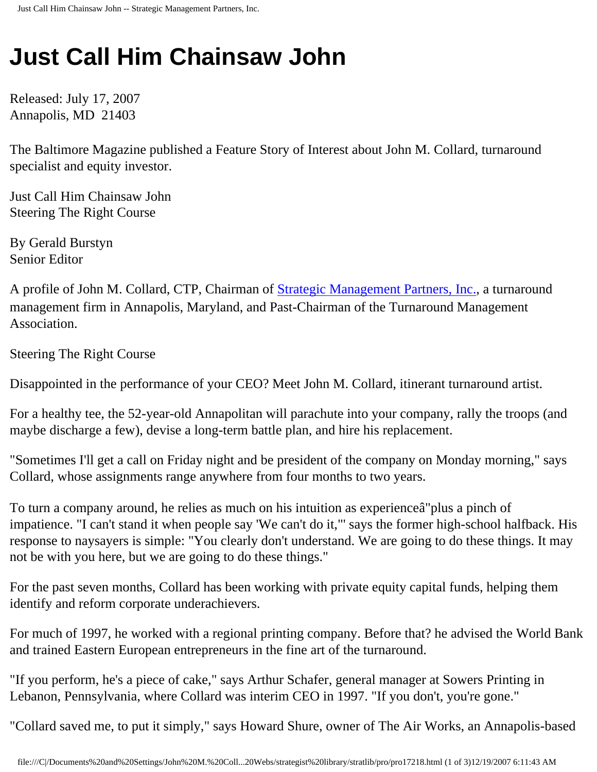## **Just Call Him Chainsaw John**

Released: July 17, 2007 Annapolis, MD 21403

The Baltimore Magazine published a Feature Story of Interest about John M. Collard, turnaround specialist and equity investor.

Just Call Him Chainsaw John Steering The Right Course

By Gerald Burstyn Senior Editor

A profile of John M. Collard, CTP, Chairman of [Strategic Management Partners, Inc.,](http://www.strategicmgtpartners.com/) a turnaround management firm in Annapolis, Maryland, and Past-Chairman of the Turnaround Management Association.

Steering The Right Course

Disappointed in the performance of your CEO? Meet John M. Collard, itinerant turnaround artist.

For a healthy tee, the 52-year-old Annapolitan will parachute into your company, rally the troops (and maybe discharge a few), devise a long-term battle plan, and hire his replacement.

"Sometimes I'll get a call on Friday night and be president of the company on Monday morning," says Collard, whose assignments range anywhere from four months to two years.

To turn a company around, he relies as much on his intuition as experienceâ€"plus a pinch of impatience. "I can't stand it when people say 'We can't do it,"' says the former high-school halfback. His response to naysayers is simple: "You clearly don't understand. We are going to do these things. It may not be with you here, but we are going to do these things."

For the past seven months, Collard has been working with private equity capital funds, helping them identify and reform corporate underachievers.

For much of 1997, he worked with a regional printing company. Before that? he advised the World Bank and trained Eastern European entrepreneurs in the fine art of the turnaround.

"If you perform, he's a piece of cake," says Arthur Schafer, general manager at Sowers Printing in Lebanon, Pennsylvania, where Collard was interim CEO in 1997. "If you don't, you're gone."

"Collard saved me, to put it simply," says Howard Shure, owner of The Air Works, an Annapolis-based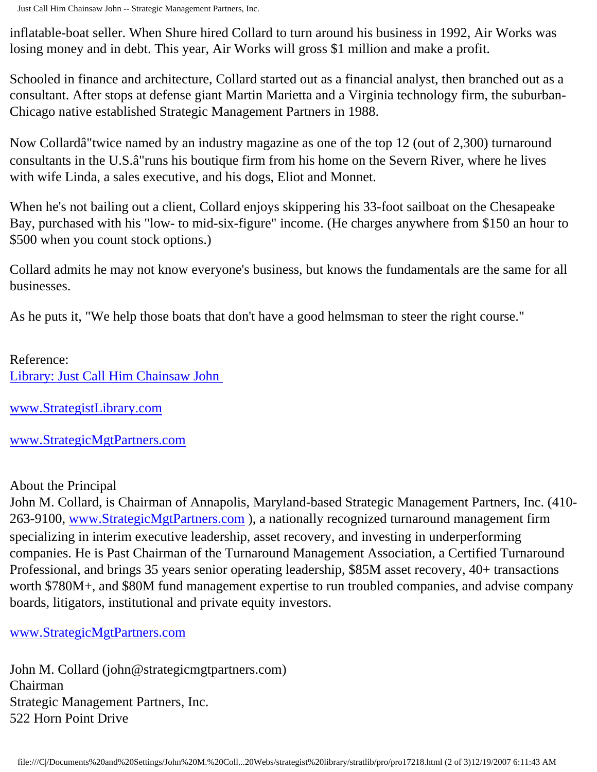inflatable-boat seller. When Shure hired Collard to turn around his business in 1992, Air Works was losing money and in debt. This year, Air Works will gross \$1 million and make a profit.

Schooled in finance and architecture, Collard started out as a financial analyst, then branched out as a consultant. After stops at defense giant Martin Marietta and a Virginia technology firm, the suburban-Chicago native established Strategic Management Partners in 1988.

Now Collardâ€"twice named by an industry magazine as one of the top 12 (out of 2,300) turnaround consultants in the U.S. $\hat{a} \in \text{}'$  runs his boutique firm from his home on the Severn River, where he lives with wife Linda, a sales executive, and his dogs, Eliot and Monnet.

When he's not bailing out a client, Collard enjoys skippering his 33-foot sailboat on the Chesapeake Bay, purchased with his "low- to mid-six-figure" income. (He charges anywhere from \$150 an hour to \$500 when you count stock options.)

Collard admits he may not know everyone's business, but knows the fundamentals are the same for all businesses.

As he puts it, "We help those boats that don't have a good helmsman to steer the right course."

Reference: [Library: Just Call Him Chainsaw John](http://members.aol.com/jmcollard/bm.html)

[www.StrategistLibrary.com](http://www.strategistlibrary.com/)

[www.StrategicMgtPartners.com](http://www.strategicmgtpartners.com/)

About the Principal

John M. Collard, is Chairman of Annapolis, Maryland-based Strategic Management Partners, Inc. (410 263-9100, [www.StrategicMgtPartners.com](http://www.strategicmgtpartners.com/)), a nationally recognized turnaround management firm specializing in interim executive leadership, asset recovery, and investing in underperforming companies. He is Past Chairman of the Turnaround Management Association, a Certified Turnaround Professional, and brings 35 years senior operating leadership, \$85M asset recovery, 40+ transactions worth \$780M+, and \$80M fund management expertise to run troubled companies, and advise company boards, litigators, institutional and private equity investors.

## [www.StrategicMgtPartners.com](http://www.strategicmgtpartners.com/)

John M. Collard (john@strategicmgtpartners.com) Chairman Strategic Management Partners, Inc. 522 Horn Point Drive